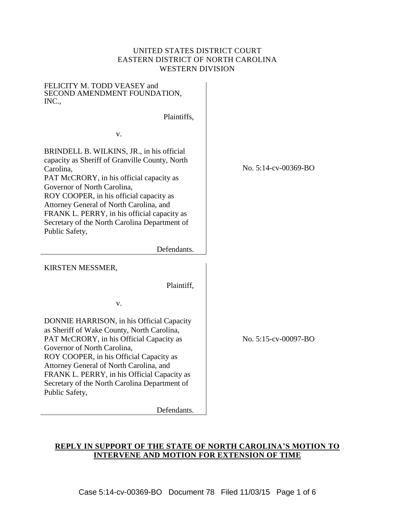## UNITED STATES DISTRICT COURT EASTERN DISTRICT OF NORTH CAROLINA WESTERN DIVISION

| FELICITY M. TODD VEASEY and<br>SECOND AMENDMENT FOUNDATION,<br>INC.,                                                                                                                                                                                                                                                                                                                        |  |
|---------------------------------------------------------------------------------------------------------------------------------------------------------------------------------------------------------------------------------------------------------------------------------------------------------------------------------------------------------------------------------------------|--|
| Plaintiffs,                                                                                                                                                                                                                                                                                                                                                                                 |  |
| V.                                                                                                                                                                                                                                                                                                                                                                                          |  |
| BRINDELL B. WILKINS, JR., in his official<br>capacity as Sheriff of Granville County, North<br>Carolina,<br>PAT McCRORY, in his official capacity as<br>Governor of North Carolina,<br>ROY COOPER, in his official capacity as<br>Attorney General of North Carolina, and<br>FRANK L. PERRY, in his official capacity as<br>Secretary of the North Carolina Department of<br>Public Safety, |  |
| Defendants.                                                                                                                                                                                                                                                                                                                                                                                 |  |
| KIRSTEN MESSMER,                                                                                                                                                                                                                                                                                                                                                                            |  |
| Plaintiff,                                                                                                                                                                                                                                                                                                                                                                                  |  |
| v.                                                                                                                                                                                                                                                                                                                                                                                          |  |
| DONNIE HARRISON, in his Official Capacity<br>as Sheriff of Wake County, North Carolina,<br>PAT McCRORY, in his Official Capacity as<br>Governor of North Carolina.<br>ROY COOPER, in his Official Capacity as<br>Attorney General of North Carolina, and<br>FRANK L. PERRY, in his Official Capacity as<br>Secretary of the North Carolina Department of<br>Public Safety,                  |  |

Defendants.

No. 5:14-cv-00369-BO

No. 5:15-cv-00097-BO

# **REPLY IN SUPPORT OF THE STATE OF NORTH CAROLINA'S MOTION TO INTERVENE AND MOTION FOR EXTENSION OF TIME**

Case 5:14-cv-00369-BO Document 78 Filed 11/03/15 Page 1 of 6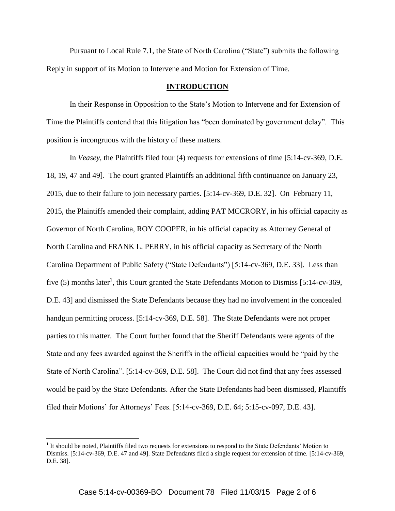Pursuant to Local Rule 7.1, the State of North Carolina ("State") submits the following Reply in support of its Motion to Intervene and Motion for Extension of Time.

#### **INTRODUCTION**

In their Response in Opposition to the State's Motion to Intervene and for Extension of Time the Plaintiffs contend that this litigation has "been dominated by government delay". This position is incongruous with the history of these matters.

In *Veasey,* the Plaintiffs filed four (4) requests for extensions of time [5:14-cv-369, D.E. 18, 19, 47 and 49]. The court granted Plaintiffs an additional fifth continuance on January 23, 2015, due to their failure to join necessary parties. [5:14-cv-369, D.E. 32]. On February 11, 2015, the Plaintiffs amended their complaint, adding PAT MCCRORY, in his official capacity as Governor of North Carolina, ROY COOPER, in his official capacity as Attorney General of North Carolina and FRANK L. PERRY, in his official capacity as Secretary of the North Carolina Department of Public Safety ("State Defendants") [5:14-cv-369, D.E. 33]. Less than five (5) months later<sup>1</sup>, this Court granted the State Defendants Motion to Dismiss [5:14-cv-369, D.E. 43] and dismissed the State Defendants because they had no involvement in the concealed handgun permitting process. [5:14-cv-369, D.E. 58]. The State Defendants were not proper parties to this matter. The Court further found that the Sheriff Defendants were agents of the State and any fees awarded against the Sheriffs in the official capacities would be "paid by the State of North Carolina". [5:14-cv-369, D.E. 58]. The Court did not find that any fees assessed would be paid by the State Defendants. After the State Defendants had been dismissed, Plaintiffs filed their Motions' for Attorneys' Fees. [5:14-cv-369, D.E. 64; 5:15-cv-097, D.E. 43].

 $\overline{a}$ 

<sup>&</sup>lt;sup>1</sup> It should be noted, Plaintiffs filed two requests for extensions to respond to the State Defendants' Motion to Dismiss. [5:14-cv-369, D.E. 47 and 49]. State Defendants filed a single request for extension of time. [5:14-cv-369, D.E. 38].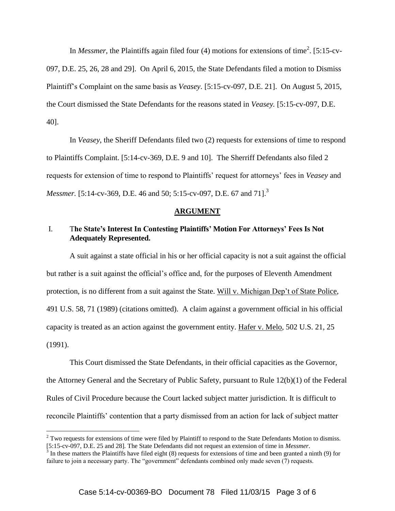In *Messmer*, the Plaintiffs again filed four (4) motions for extensions of time<sup>2</sup>. [5:15-cv-097, D.E. 25, 26, 28 and 29]. On April 6, 2015, the State Defendants filed a motion to Dismiss Plaintiff's Complaint on the same basis as *Veasey*. [5:15-cv-097, D.E. 21]. On August 5, 2015, the Court dismissed the State Defendants for the reasons stated in *Veasey.* [5:15-cv-097, D.E. 40].

In *Veasey*, the Sheriff Defendants filed two (2) requests for extensions of time to respond to Plaintiffs Complaint. [5:14-cv-369, D.E. 9 and 10]. The Sherriff Defendants also filed 2 requests for extension of time to respond to Plaintiffs' request for attorneys' fees in *Veasey* and *Messmer.* [5:14-cv-369, D.E. 46 and 50; 5:15-cv-097, D.E. 67 and 71].<sup>3</sup>

#### **ARGUMENT**

### I. T**he State's Interest In Contesting Plaintiffs' Motion For Attorneys' Fees Is Not Adequately Represented.**

A suit against a state official in his or her official capacity is not a suit against the official but rather is a suit against the official's office and, for the purposes of Eleventh Amendment protection, is no different from a suit against the State. Will v. Michigan Dep't of State Police, 491 U.S. 58, 71 (1989) (citations omitted). A claim against a government official in his official capacity is treated as an action against the government entity. Hafer v. Melo, 502 U.S. 21, 25 (1991).

This Court dismissed the State Defendants, in their official capacities as the Governor, the Attorney General and the Secretary of Public Safety, pursuant to Rule 12(b)(1) of the Federal Rules of Civil Procedure because the Court lacked subject matter jurisdiction. It is difficult to reconcile Plaintiffs' contention that a party dismissed from an action for lack of subject matter

 $\overline{a}$ 

 $2$  Two requests for extensions of time were filed by Plaintiff to respond to the State Defendants Motion to dismiss. [5:15-cv-097, D.E. 25 and 28]. The State Defendants did not request an extension of time in *Messmer*.<br><sup>3</sup> In these matters the Plaintiffs have filed eight (8) requests for extensions of time and been granted a ninth (9)

failure to join a necessary party. The "government" defendants combined only made seven (7) requests.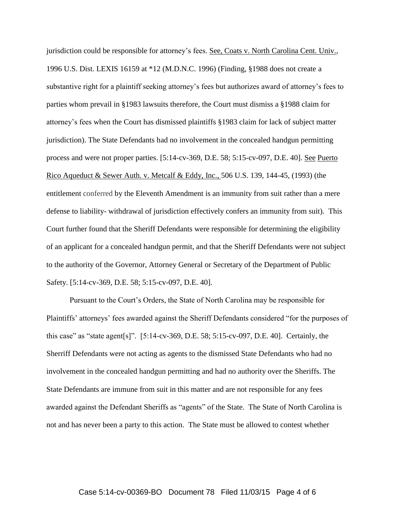jurisdiction could be responsible for attorney's fees. See, Coats v. North Carolina Cent. Univ., 1996 U.S. Dist. LEXIS 16159 at \*12 (M.D.N.C. 1996) (Finding, §1988 does not create a substantive right for a plaintiff seeking attorney's fees but authorizes award of attorney's fees to parties whom prevail in §1983 lawsuits therefore, the Court must dismiss a §1988 claim for attorney's fees when the Court has dismissed plaintiffs §1983 claim for lack of subject matter jurisdiction). The State Defendants had no involvement in the concealed handgun permitting process and were not proper parties. [5:14-cv-369, D.E. 58; 5:15-cv-097, D.E. 40]. See Puerto Rico Aqueduct & Sewer Auth. v. Metcalf & Eddy, Inc.*,* 506 U.S. 139, 144-45, (1993) (the entitlement conferred by the Eleventh Amendment is an immunity from suit rather than a mere defense to liability- withdrawal of jurisdiction effectively confers an immunity from suit). This Court further found that the Sheriff Defendants were responsible for determining the eligibility of an applicant for a concealed handgun permit, and that the Sheriff Defendants were not subject to the authority of the Governor, Attorney General or Secretary of the Department of Public Safety. [5:14-cv-369, D.E. 58; 5:15-cv-097, D.E. 40].

Pursuant to the Court's Orders, the State of North Carolina may be responsible for Plaintiffs' attorneys' fees awarded against the Sheriff Defendants considered "for the purposes of this case" as "state agent[s]". [5:14-cv-369, D.E. 58; 5:15-cv-097, D.E. 40]. Certainly, the Sherriff Defendants were not acting as agents to the dismissed State Defendants who had no involvement in the concealed handgun permitting and had no authority over the Sheriffs. The State Defendants are immune from suit in this matter and are not responsible for any fees awarded against the Defendant Sheriffs as "agents" of the State. The State of North Carolina is not and has never been a party to this action. The State must be allowed to contest whether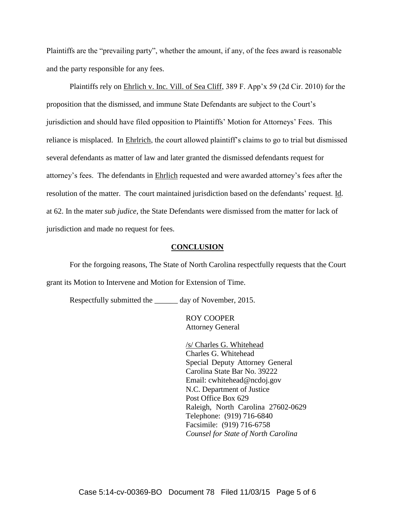Plaintiffs are the "prevailing party", whether the amount, if any, of the fees award is reasonable and the party responsible for any fees.

Plaintiffs rely on Ehrlich v. Inc. Vill. of Sea Cliff, 389 F. App'x 59 (2d Cir. 2010) for the proposition that the dismissed, and immune State Defendants are subject to the Court's jurisdiction and should have filed opposition to Plaintiffs' Motion for Attorneys' Fees. This reliance is misplaced. In Ehrlrich, the court allowed plaintiff's claims to go to trial but dismissed several defendants as matter of law and later granted the dismissed defendants request for attorney's fees. The defendants in Ehrlich requested and were awarded attorney's fees after the resolution of the matter. The court maintained jurisdiction based on the defendants' request. Id. at 62. In the mater *sub judice*, the State Defendants were dismissed from the matter for lack of jurisdiction and made no request for fees.

#### **CONCLUSION**

For the forgoing reasons, The State of North Carolina respectfully requests that the Court grant its Motion to Intervene and Motion for Extension of Time.

Respectfully submitted the \_\_\_\_\_\_ day of November, 2015.

ROY COOPER Attorney General

/s/ Charles G. Whitehead Charles G. Whitehead Special Deputy Attorney General Carolina State Bar No. 39222 Email: cwhitehead@ncdoj.gov N.C. Department of Justice Post Office Box 629 Raleigh, North Carolina 27602-0629 Telephone: (919) 716-6840 Facsimile: (919) 716-6758 *Counsel for State of North Carolina*